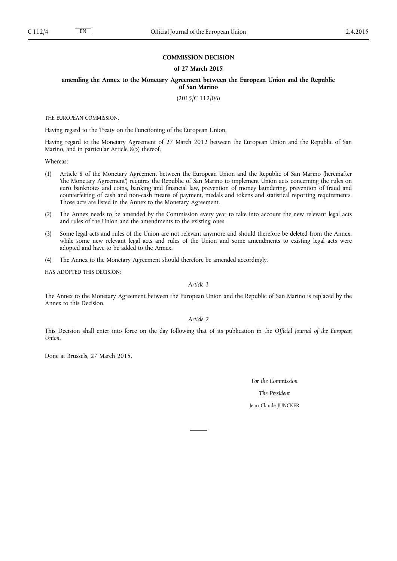## **COMMISSION DECISION**

## **of 27 March 2015**

**amending the Annex to the Monetary Agreement between the European Union and the Republic of San Marino**

(2015/C 112/06)

THE EUROPEAN COMMISSION,

Having regard to the Treaty on the Functioning of the European Union,

Having regard to the Monetary Agreement of 27 March 2012 between the European Union and the Republic of San Marino, and in particular Article 8(5) thereof,

Whereas:

- (1) Article 8 of the Monetary Agreement between the European Union and the Republic of San Marino (hereinafter 'the Monetary Agreement') requires the Republic of San Marino to implement Union acts concerning the rules on euro banknotes and coins, banking and financial law, prevention of money laundering, prevention of fraud and counterfeiting of cash and non-cash means of payment, medals and tokens and statistical reporting requirements. Those acts are listed in the Annex to the Monetary Agreement.
- (2) The Annex needs to be amended by the Commission every year to take into account the new relevant legal acts and rules of the Union and the amendments to the existing ones.
- (3) Some legal acts and rules of the Union are not relevant anymore and should therefore be deleted from the Annex, while some new relevant legal acts and rules of the Union and some amendments to existing legal acts were adopted and have to be added to the Annex.
- (4) The Annex to the Monetary Agreement should therefore be amended accordingly,

HAS ADOPTED THIS DECISION:

*Article 1*

The Annex to the Monetary Agreement between the European Union and the Republic of San Marino is replaced by the Annex to this Decision.

*Article 2*

This Decision shall enter into force on the day following that of its publication in the *Official Journal of the European Union*.

Done at Brussels, 27 March 2015.

*For the Commission*

*The President*

Jean-Claude JUNCKER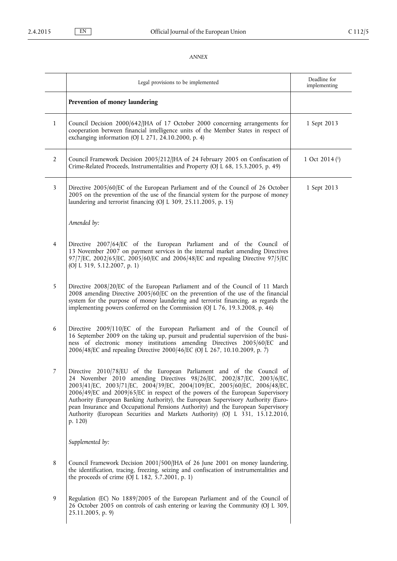## *ANNEX*

|                | Legal provisions to be implemented                                                                                                                                                                                                                                                                                                                                                                                                                                                                                                                                               | Deadline for<br>implementing    |
|----------------|----------------------------------------------------------------------------------------------------------------------------------------------------------------------------------------------------------------------------------------------------------------------------------------------------------------------------------------------------------------------------------------------------------------------------------------------------------------------------------------------------------------------------------------------------------------------------------|---------------------------------|
|                | Prevention of money laundering                                                                                                                                                                                                                                                                                                                                                                                                                                                                                                                                                   |                                 |
| $\mathbf{1}$   | Council Decision 2000/642/JHA of 17 October 2000 concerning arrangements for<br>cooperation between financial intelligence units of the Member States in respect of<br>exchanging information (OJ L 271, 24.10.2000, p. 4)                                                                                                                                                                                                                                                                                                                                                       | 1 Sept 2013                     |
| $\overline{2}$ | Council Framework Decision 2005/212/JHA of 24 February 2005 on Confiscation of<br>Crime-Related Proceeds, Instrumentalities and Property (OJ L 68, 15.3.2005, p. 49)                                                                                                                                                                                                                                                                                                                                                                                                             | 1 Oct 2014 $($ <sup>1</sup> $)$ |
| 3              | Directive 2005/60/EC of the European Parliament and of the Council of 26 October<br>2005 on the prevention of the use of the financial system for the purpose of money<br>laundering and terrorist financing (OJ L 309, 25.11.2005, p. 15)                                                                                                                                                                                                                                                                                                                                       | 1 Sept 2013                     |
|                | Amended by:                                                                                                                                                                                                                                                                                                                                                                                                                                                                                                                                                                      |                                 |
| 4              | Directive 2007/64/EC of the European Parliament and of the Council of<br>13 November 2007 on payment services in the internal market amending Directives<br>97/7/EC, 2002/65/EC, 2005/60/EC and 2006/48/EC and repealing Directive 97/5/EC<br>(OJ L 319, 5.12.2007, p. 1)                                                                                                                                                                                                                                                                                                        |                                 |
| 5              | Directive 2008/20/EC of the European Parliament and of the Council of 11 March<br>2008 amending Directive 2005/60/EC on the prevention of the use of the financial<br>system for the purpose of money laundering and terrorist financing, as regards the<br>implementing powers conferred on the Commission (OJ L 76, 19.3.2008, p. 46)                                                                                                                                                                                                                                          |                                 |
| 6              | Directive 2009/110/EC of the European Parliament and of the Council of<br>16 September 2009 on the taking up, pursuit and prudential supervision of the busi-<br>ness of electronic money institutions amending Directives 2005/60/EC and<br>2006/48/EC and repealing Directive 2000/46/EC (OJ L 267, 10.10.2009, p. 7)                                                                                                                                                                                                                                                          |                                 |
| 7              | Directive 2010/78/EU of the European Parliament and of the Council of<br>24 November 2010 amending Directives 98/26/EC, 2002/87/EC, 2003/6/EC,<br>2003/41/EC, 2003/71/EC, 2004/39/EC, 2004/109/EC, 2005/60/EC, 2006/48/EC,<br>2006/49/EC and 2009/65/EC in respect of the powers of the European Supervisory<br>Authority (European Banking Authority), the European Supervisory Authority (Euro-<br>pean Insurance and Occupational Pensions Authority) and the European Supervisory<br>Authority (European Securities and Markets Authority) (OJ L 331, 15.12.2010,<br>p. 120) |                                 |
|                | Supplemented by:                                                                                                                                                                                                                                                                                                                                                                                                                                                                                                                                                                 |                                 |
| 8              | Council Framework Decision 2001/500/JHA of 26 June 2001 on money laundering,<br>the identification, tracing, freezing, seizing and confiscation of instrumentalities and<br>the proceeds of crime (OJ L 182, 5.7.2001, p. 1)                                                                                                                                                                                                                                                                                                                                                     |                                 |
| 9              | Regulation (EC) No 1889/2005 of the European Parliament and of the Council of<br>26 October 2005 on controls of cash entering or leaving the Community (OJ L 309,<br>25.11.2005, p. 9)                                                                                                                                                                                                                                                                                                                                                                                           |                                 |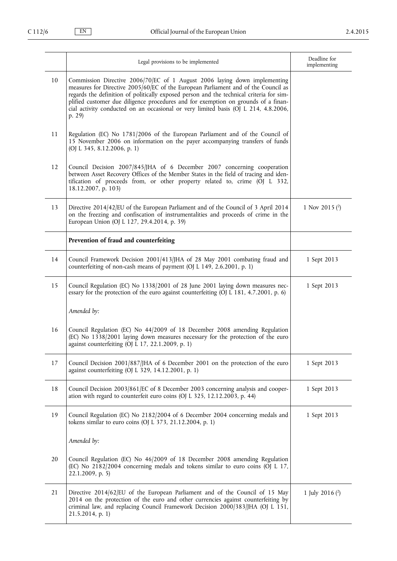|    | Legal provisions to be implemented                                                                                                                                                                                                                                                                                                                                                                                                                 | Deadline for<br>implementing |
|----|----------------------------------------------------------------------------------------------------------------------------------------------------------------------------------------------------------------------------------------------------------------------------------------------------------------------------------------------------------------------------------------------------------------------------------------------------|------------------------------|
| 10 | Commission Directive 2006/70/EC of 1 August 2006 laying down implementing<br>measures for Directive 2005/60/EC of the European Parliament and of the Council as<br>regards the definition of politically exposed person and the technical criteria for sim-<br>plified customer due diligence procedures and for exemption on grounds of a finan-<br>cial activity conducted on an occasional or very limited basis (OJ L 214, 4.8.2006,<br>p. 29) |                              |
| 11 | Regulation (EC) No 1781/2006 of the European Parliament and of the Council of<br>15 November 2006 on information on the payer accompanying transfers of funds<br>(OJ L 345, 8.12.2006, p. 1)                                                                                                                                                                                                                                                       |                              |
| 12 | Council Decision 2007/845/JHA of 6 December 2007 concerning cooperation<br>between Asset Recovery Offices of the Member States in the field of tracing and iden-<br>tification of proceeds from, or other property related to, crime (OJ L 332,<br>18.12.2007, p. 103)                                                                                                                                                                             |                              |
| 13 | Directive 2014/42/EU of the European Parliament and of the Council of 3 April 2014<br>on the freezing and confiscation of instrumentalities and proceeds of crime in the<br>European Union (OJ L 127, 29.4.2014, p. 39)                                                                                                                                                                                                                            | 1 Nov 2015 $(2)$             |
|    | Prevention of fraud and counterfeiting                                                                                                                                                                                                                                                                                                                                                                                                             |                              |
| 14 | Council Framework Decision 2001/413/JHA of 28 May 2001 combating fraud and<br>counterfeiting of non-cash means of payment (OJ L 149, 2.6.2001, p. 1)                                                                                                                                                                                                                                                                                               | 1 Sept 2013                  |
| 15 | Council Regulation (EC) No 1338/2001 of 28 June 2001 laying down measures nec-<br>essary for the protection of the euro against counterfeiting (OJ L 181, 4.7.2001, p. 6)                                                                                                                                                                                                                                                                          | 1 Sept 2013                  |
|    | Amended by:                                                                                                                                                                                                                                                                                                                                                                                                                                        |                              |
| 16 | Council Regulation (EC) No 44/2009 of 18 December 2008 amending Regulation<br>(EC) No 1338/2001 laying down measures necessary for the protection of the euro<br>against counterfeiting (OJ L 17, 22.1.2009, p. 1)                                                                                                                                                                                                                                 |                              |
| 17 | Council Decision 2001/887/JHA of 6 December 2001 on the protection of the euro<br>against counterfeiting (OJ L 329, 14.12.2001, p. 1)                                                                                                                                                                                                                                                                                                              | 1 Sept 2013                  |
| 18 | Council Decision 2003/861/EC of 8 December 2003 concerning analysis and cooper-<br>ation with regard to counterfeit euro coins (OJ L 325, 12.12.2003, p. 44)                                                                                                                                                                                                                                                                                       | 1 Sept 2013                  |
| 19 | Council Regulation (EC) No 2182/2004 of 6 December 2004 concerning medals and<br>tokens similar to euro coins (OJ L 373, 21.12.2004, p. 1)                                                                                                                                                                                                                                                                                                         | 1 Sept 2013                  |
|    | Amended by:                                                                                                                                                                                                                                                                                                                                                                                                                                        |                              |
| 20 | Council Regulation (EC) No 46/2009 of 18 December 2008 amending Regulation<br>(EC) No 2182/2004 concerning medals and tokens similar to euro coins (OJ L 17,<br>$22.1.2009$ , p. 5)                                                                                                                                                                                                                                                                |                              |
| 21 | Directive 2014/62/EU of the European Parliament and of the Council of 15 May<br>2014 on the protection of the euro and other currencies against counterfeiting by<br>criminal law, and replacing Council Framework Decision 2000/383/JHA (OJ L 151,<br>21.5.2014, p. 1)                                                                                                                                                                            | 1 July 2016 $(2)$            |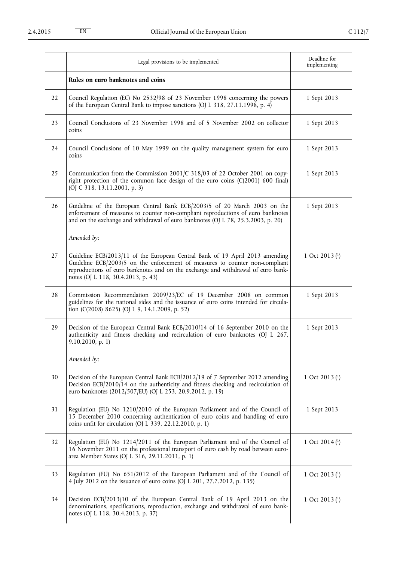|    | Legal provisions to be implemented                                                                                                                                                                                                                                                     | Deadline for<br>implementing |
|----|----------------------------------------------------------------------------------------------------------------------------------------------------------------------------------------------------------------------------------------------------------------------------------------|------------------------------|
|    | Rules on euro banknotes and coins                                                                                                                                                                                                                                                      |                              |
| 22 | Council Regulation (EC) No 2532/98 of 23 November 1998 concerning the powers<br>of the European Central Bank to impose sanctions (OJ L 318, 27.11.1998, p. 4)                                                                                                                          | 1 Sept 2013                  |
| 23 | Council Conclusions of 23 November 1998 and of 5 November 2002 on collector<br>coins                                                                                                                                                                                                   | 1 Sept 2013                  |
| 24 | Council Conclusions of 10 May 1999 on the quality management system for euro<br>coins                                                                                                                                                                                                  | 1 Sept 2013                  |
| 25 | Communication from the Commission 2001/C 318/03 of 22 October 2001 on copy-<br>right protection of the common face design of the euro coins (C(2001) 600 final)<br>(OJ C 318, 13.11.2001, p. 3)                                                                                        | 1 Sept 2013                  |
| 26 | Guideline of the European Central Bank ECB/2003/5 of 20 March 2003 on the<br>enforcement of measures to counter non-compliant reproductions of euro banknotes<br>and on the exchange and withdrawal of euro banknotes (OJ L 78, 25.3.2003, p. 20)                                      | 1 Sept 2013                  |
|    | Amended by:                                                                                                                                                                                                                                                                            |                              |
| 27 | Guideline ECB/2013/11 of the European Central Bank of 19 April 2013 amending<br>Guideline ECB/2003/5 on the enforcement of measures to counter non-compliant<br>reproductions of euro banknotes and on the exchange and withdrawal of euro bank-<br>notes (OJ L 118, 30.4.2013, p. 43) | 1 Oct 2013 $(1)$             |
| 28 | Commission Recommendation 2009/23/EC of 19 December 2008 on common<br>guidelines for the national sides and the issuance of euro coins intended for circula-<br>tion (C(2008) 8625) (OJ L 9, 14.1.2009, p. 52)                                                                         | 1 Sept 2013                  |
| 29 | Decision of the European Central Bank ECB/2010/14 of 16 September 2010 on the<br>authenticity and fitness checking and recirculation of euro banknotes (OJ L 267,<br>9.10.2010, p. 1)                                                                                                  | 1 Sept 2013                  |
|    | Amended by:                                                                                                                                                                                                                                                                            |                              |
| 30 | Decision of the European Central Bank ECB/2012/19 of 7 September 2012 amending<br>Decision ECB/2010/14 on the authenticity and fitness checking and recirculation of<br>euro banknotes (2012/507/EU) (OJ L 253, 20.9.2012, p. 19)                                                      | 1 Oct 2013 $(1)$             |
| 31 | Regulation (EU) No 1210/2010 of the European Parliament and of the Council of<br>15 December 2010 concerning authentication of euro coins and handling of euro<br>coins unfit for circulation (OJ L 339, 22.12.2010, p. 1)                                                             | 1 Sept 2013                  |
| 32 | Regulation (EU) No 1214/2011 of the European Parliament and of the Council of<br>16 November 2011 on the professional transport of euro cash by road between euro-<br>area Member States (OJ L 316, 29.11.2011, p. 1)                                                                  | 1 Oct 2014 $(1)$             |
| 33 | Regulation (EU) No 651/2012 of the European Parliament and of the Council of<br>4 July 2012 on the issuance of euro coins (OJ L 201, 27.7.2012, p. 135)                                                                                                                                | 1 Oct 2013 $(1)$             |
| 34 | Decision ECB/2013/10 of the European Central Bank of 19 April 2013 on the<br>denominations, specifications, reproduction, exchange and withdrawal of euro bank-<br>notes (OJ L 118, 30.4.2013, p. 37)                                                                                  | 1 Oct 2013 $(1)$             |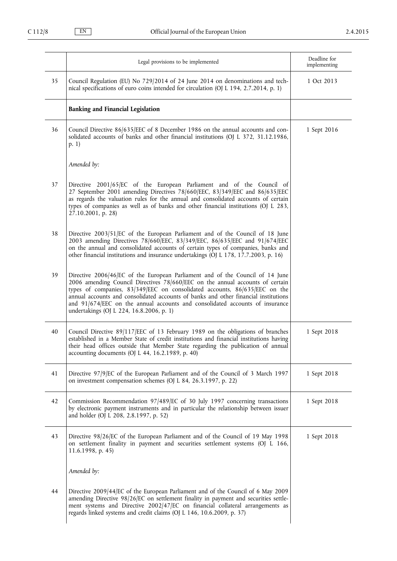|    | Legal provisions to be implemented                                                                                                                                                                                                                                                                                                                                                                                                                              | Deadline for<br>implementing |
|----|-----------------------------------------------------------------------------------------------------------------------------------------------------------------------------------------------------------------------------------------------------------------------------------------------------------------------------------------------------------------------------------------------------------------------------------------------------------------|------------------------------|
| 35 | Council Regulation (EU) No 729/2014 of 24 June 2014 on denominations and tech-<br>nical specifications of euro coins intended for circulation (OJ L 194, 2.7.2014, p. 1)                                                                                                                                                                                                                                                                                        | 1 Oct 2013                   |
|    | <b>Banking and Financial Legislation</b>                                                                                                                                                                                                                                                                                                                                                                                                                        |                              |
| 36 | Council Directive 86/635/EEC of 8 December 1986 on the annual accounts and con-<br>solidated accounts of banks and other financial institutions (OJ L 372, 31.12.1986,<br>p. 1)                                                                                                                                                                                                                                                                                 | 1 Sept 2016                  |
|    | Amended by:                                                                                                                                                                                                                                                                                                                                                                                                                                                     |                              |
| 37 | Directive 2001/65/EC of the European Parliament and of the Council of<br>27 September 2001 amending Directives 78/660/EEC, 83/349/EEC and 86/635/EEC<br>as regards the valuation rules for the annual and consolidated accounts of certain<br>types of companies as well as of banks and other financial institutions (OJ L 283,<br>27.10.2001, p. 28)                                                                                                          |                              |
| 38 | Directive 2003/51/EC of the European Parliament and of the Council of 18 June<br>2003 amending Directives 78/660 EEC, 83/349 EEC, 86/635 EEC and 91/674 EEC<br>on the annual and consolidated accounts of certain types of companies, banks and<br>other financial institutions and insurance undertakings (OJ L 178, 17.7.2003, p. 16)                                                                                                                         |                              |
| 39 | Directive 2006/46/EC of the European Parliament and of the Council of 14 June<br>2006 amending Council Directives 78/660/EEC on the annual accounts of certain<br>types of companies, 83/349/EEC on consolidated accounts, 86/635/EEC on the<br>annual accounts and consolidated accounts of banks and other financial institutions<br>and 91/674/EEC on the annual accounts and consolidated accounts of insurance<br>undertakings (OJ L 224, 16.8.2006, p. 1) |                              |
| 40 | Council Directive 89/117/EEC of 13 February 1989 on the obligations of branches<br>established in a Member State of credit institutions and financial institutions having<br>their head offices outside that Member State regarding the publication of annual<br>accounting documents (OJ L 44, 16.2.1989, p. 40)                                                                                                                                               | 1 Sept 2018                  |
| 41 | Directive 97/9/EC of the European Parliament and of the Council of 3 March 1997<br>on investment compensation schemes (OJ L 84, 26.3.1997, p. 22)                                                                                                                                                                                                                                                                                                               | 1 Sept 2018                  |
| 42 | Commission Recommendation 97/489/EC of 30 July 1997 concerning transactions<br>by electronic payment instruments and in particular the relationship between issuer<br>and holder (OJ L 208, 2.8.1997, p. 52)                                                                                                                                                                                                                                                    | 1 Sept 2018                  |
| 43 | Directive 98/26/EC of the European Parliament and of the Council of 19 May 1998<br>on settlement finality in payment and securities settlement systems (OJ L 166,<br>$11.6.1998$ , p. 45)                                                                                                                                                                                                                                                                       | 1 Sept 2018                  |
|    | Amended by:                                                                                                                                                                                                                                                                                                                                                                                                                                                     |                              |
| 44 | Directive 2009/44/EC of the European Parliament and of the Council of 6 May 2009<br>amending Directive 98/26/EC on settlement finality in payment and securities settle-<br>ment systems and Directive 2002/47/EC on financial collateral arrangements as<br>regards linked systems and credit claims (OJ L 146, 10.6.2009, p. 37)                                                                                                                              |                              |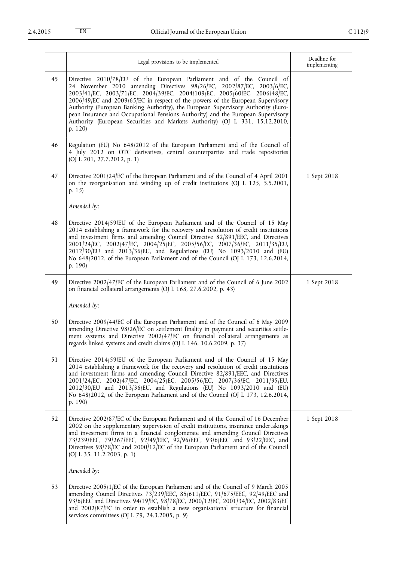|    | Legal provisions to be implemented                                                                                                                                                                                                                                                                                                                                                                                                                                                                                                                                               | Deadline for<br>implementing |
|----|----------------------------------------------------------------------------------------------------------------------------------------------------------------------------------------------------------------------------------------------------------------------------------------------------------------------------------------------------------------------------------------------------------------------------------------------------------------------------------------------------------------------------------------------------------------------------------|------------------------------|
| 45 | Directive 2010/78/EU of the European Parliament and of the Council of<br>24 November 2010 amending Directives 98/26/EC, 2002/87/EC, 2003/6/EC,<br>2003/41/EC, 2003/71/EC, 2004/39/EC, 2004/109/EC, 2005/60/EC, 2006/48/EC,<br>2006/49/EC and 2009/65/EC in respect of the powers of the European Supervisory<br>Authority (European Banking Authority), the European Supervisory Authority (Euro-<br>pean Insurance and Occupational Pensions Authority) and the European Supervisory<br>Authority (European Securities and Markets Authority) (OJ L 331, 15.12.2010,<br>p. 120) |                              |
| 46 | Regulation (EU) No 648/2012 of the European Parliament and of the Council of<br>4 July 2012 on OTC derivatives, central counterparties and trade repositories<br>(OJ L 201, 27.7.2012, p. 1)                                                                                                                                                                                                                                                                                                                                                                                     |                              |
| 47 | Directive 2001/24/EC of the European Parliament and of the Council of 4 April 2001<br>on the reorganisation and winding up of credit institutions (OJ L 125, 5.5.2001,<br>p. 15)                                                                                                                                                                                                                                                                                                                                                                                                 | 1 Sept 2018                  |
|    | Amended by:                                                                                                                                                                                                                                                                                                                                                                                                                                                                                                                                                                      |                              |
| 48 | Directive 2014/59/EU of the European Parliament and of the Council of 15 May<br>2014 establishing a framework for the recovery and resolution of credit institutions<br>and investment firms and amending Council Directive 82/891/EEC, and Directives<br>2001/24/EC, 2002/47/EC, 2004/25/EC, 2005/56/EC, 2007/36/EC, 2011/35/EU,<br>2012/30/EU and 2013/36/EU, and Regulations (EU) No 1093/2010 and (EU)<br>No 648/2012, of the European Parliament and of the Council (OJ L 173, 12.6.2014,<br>p. 190)                                                                        |                              |
| 49 | Directive 2002/47/EC of the European Parliament and of the Council of 6 June 2002<br>on financial collateral arrangements (OJ L 168, 27.6.2002, p. 43)                                                                                                                                                                                                                                                                                                                                                                                                                           | 1 Sept 2018                  |
|    | Amended by:                                                                                                                                                                                                                                                                                                                                                                                                                                                                                                                                                                      |                              |
| 50 | Directive 2009/44/EC of the European Parliament and of the Council of 6 May 2009<br>amending Directive 98/26/EC on settlement finality in payment and securities settle-<br>ment systems and Directive 2002/47/EC on financial collateral arrangements as<br>regards linked systems and credit claims (OJ L 146, 10.6.2009, p. 37)                                                                                                                                                                                                                                               |                              |
| 51 | Directive 2014/59/EU of the European Parliament and of the Council of 15 May<br>2014 establishing a framework for the recovery and resolution of credit institutions<br>and investment firms and amending Council Directive 82/891/EEC, and Directives<br>2001/24/EC, 2002/47/EC, 2004/25/EC, 2005/56/EC, 2007/36/EC, 2011/35/EU,<br>2012/30/EU and 2013/36/EU, and Regulations (EU) No 1093/2010 and (EU)<br>No 648/2012, of the European Parliament and of the Council (OJ L 173, 12.6.2014,<br>p. 190)                                                                        |                              |
| 52 | Directive 2002/87/EC of the European Parliament and of the Council of 16 December<br>2002 on the supplementary supervision of credit institutions, insurance undertakings<br>and investment firms in a financial conglomerate and amending Council Directives<br>73/239/EEC, 79/267/EEC, 92/49/EEC, 92/96/EEC, 93/6/EEC and 93/22/EEC, and<br>Directives 98/78/EC and 2000/12/EC of the European Parliament and of the Council<br>(OJ L 35, 11.2.2003, p. 1)                                                                                                                     | 1 Sept 2018                  |
|    | Amended by:                                                                                                                                                                                                                                                                                                                                                                                                                                                                                                                                                                      |                              |
| 53 | Directive 2005/1/EC of the European Parliament and of the Council of 9 March 2005<br>amending Council Directives 73/239/EEC, 85/611/EEC, 91/675/EEC, 92/49/EEC and<br>93/6/EEC and Directives 94/19/EC, 98/78/EC, 2000/12/EC, 2001/34/EC, 2002/83/EC<br>and 2002/87/EC in order to establish a new organisational structure for financial<br>services committees (OJ L 79, 24.3.2005, p. 9)                                                                                                                                                                                      |                              |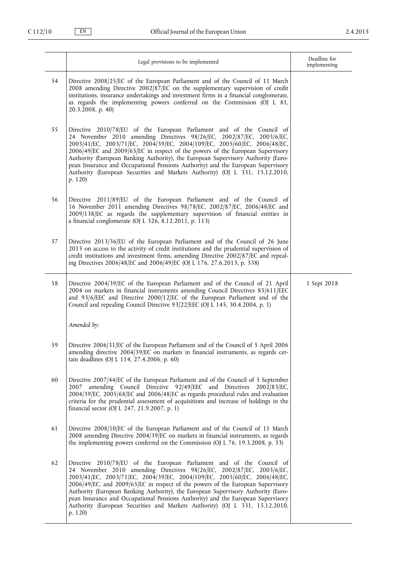|    | Legal provisions to be implemented                                                                                                                                                                                                                                                                                                                                                                                                                                                                                                                                                | Deadline for<br>implementing |
|----|-----------------------------------------------------------------------------------------------------------------------------------------------------------------------------------------------------------------------------------------------------------------------------------------------------------------------------------------------------------------------------------------------------------------------------------------------------------------------------------------------------------------------------------------------------------------------------------|------------------------------|
| 54 | Directive 2008/25/EC of the European Parliament and of the Council of 11 March<br>2008 amending Directive $2002/87$ /EC on the supplementary supervision of credit<br>institutions, insurance undertakings and investment firms in a financial conglomerate,<br>as regards the implementing powers conferred on the Commission (OJ L 81,<br>20.3.2008, p. 40)                                                                                                                                                                                                                     |                              |
| 55 | Directive 2010/78/EU of the European Parliament and of the Council of<br>24 November 2010 amending Directives 98/26/EC, 2002/87/EC, 2003/6/EC,<br>2003/41/EC, 2003/71/EC, 2004/39/EC, 2004/109/EC, 2005/60/EC, 2006/48/EC,<br>2006/49/EC and 2009/65/EC in respect of the powers of the European Supervisory<br>Authority (European Banking Authority), the European Supervisory Authority (Euro-<br>pean Insurance and Occupational Pensions Authority) and the European Supervisory<br>Authority (European Securities and Markets Authority) (OJ L 331, 15.12.2010,<br>p. 120)  |                              |
| 56 | Directive 2011/89/EU of the European Parliament and of the Council of<br>16 November 2011 amending Directives 98/78/EC, 2002/87/EC, 2006/48/EC and<br>2009/138/EC as regards the supplementary supervision of financial entities in<br>a financial conglomerate (OJ L 326, 8.12.2011, p. 113)                                                                                                                                                                                                                                                                                     |                              |
| 57 | Directive 2013/36/EU of the European Parliament and of the Council of 26 June<br>2013 on access to the activity of credit institutions and the prudential supervision of<br>credit institutions and investment firms, amending Directive 2002/87/EC and repeal-<br>ing Directives 2006/48/EC and 2006/49/EC (OJ L 176, 27.6.2013, p. 338)                                                                                                                                                                                                                                         |                              |
| 58 | Directive 2004/39/EC of the European Parliament and of the Council of 21 April<br>2004 on markets in financial instruments amending Council Directives 85/611/EEC<br>and 93/6/EEC and Directive 2000/12/EC of the European Parliament and of the<br>Council and repealing Council Directive 93/22/EEC (OJ L 145, 30.4.2004, p. 1)                                                                                                                                                                                                                                                 | 1 Sept 2018                  |
|    | Amended by:                                                                                                                                                                                                                                                                                                                                                                                                                                                                                                                                                                       |                              |
| 59 | Directive 2006/31/EC of the European Parliament and of the Council of 5 April 2006<br>amending directive 2004/39/EC on markets in financial instruments, as regards cer-<br>tain deadlines (OJ L 114, 27.4.2006, p. 60)                                                                                                                                                                                                                                                                                                                                                           |                              |
| 60 | Directive 2007/44/EC of the European Parliament and of the Council of 5 September<br>amending Council Directive 92/49/EEC and Directives 2002/83/EC,<br>2007<br>2004/39/EC, 2005/68/EC and 2006/48/EC as regards procedural rules and evaluation<br>criteria for the prudential assessment of acquisitions and increase of holdings in the<br>financial sector (OJ L 247, 21.9.2007, p. 1)                                                                                                                                                                                        |                              |
| 61 | Directive 2008/10/EC of the European Parliament and of the Council of 11 March<br>2008 amending Directive 2004/39/EC on markets in financial instruments, as regards<br>the implementing powers conferred on the Commission (OJ L 76, 19.3.2008, p. 33)                                                                                                                                                                                                                                                                                                                           |                              |
| 62 | Directive 2010/78/EU of the European Parliament and of the Council of<br>24 November 2010 amending Directives 98/26/EC, 2002/87/EC, 2003/6/EC,<br>2003/41/EC, 2003/71/EC, 2004/39/EC, 2004/109/EC, 2005/60/EC, 2006/48/EC,<br>2006/49/EC, and 2009/65/EC in respect of the powers of the European Supervisory<br>Authority (European Banking Authority), the European Supervisory Authority (Euro-<br>pean Insurance and Occupational Pensions Authority) and the European Supervisory<br>Authority (European Securities and Markets Authority) (OJ L 331, 15.12.2010,<br>p. 120) |                              |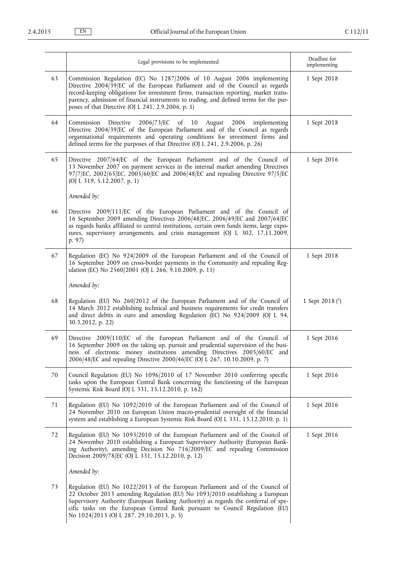|    | Legal provisions to be implemented                                                                                                                                                                                                                                                                                                                                                               | Deadline for<br>implementing |
|----|--------------------------------------------------------------------------------------------------------------------------------------------------------------------------------------------------------------------------------------------------------------------------------------------------------------------------------------------------------------------------------------------------|------------------------------|
| 63 | Commission Regulation (EC) No 1287/2006 of 10 August 2006 implementing<br>Directive 2004/39/EC of the European Parliament and of the Council as regards<br>record-keeping obligations for investment firms, transaction reporting, market trans-<br>parency, admission of financial instruments to trading, and defined terms for the pur-<br>poses of that Directive (OJ L 241, 2.9.2006, p. 1) | 1 Sept 2018                  |
| 64 | 2006/73/EC<br>of $10$<br>Commission<br>Directive<br>August 2006<br>implementing<br>Directive 2004/39/EC of the European Parliament and of the Council as regards<br>organisational requirements and operating conditions for investment firms and<br>defined terms for the purposes of that Directive (OJ L 241, 2.9.2006, p. 26)                                                                | 1 Sept 2018                  |
| 65 | Directive 2007/64/EC of the European Parliament and of the Council of<br>13 November 2007 on payment services in the internal market amending Directives<br>97/7/EC, 2002/65/EC, 2005/60/EC and 2006/48/EC and repealing Directive 97/5/EC<br>(OJ L 319, 5.12.2007, p. 1)                                                                                                                        | 1 Sept 2016                  |
|    | Amended by:                                                                                                                                                                                                                                                                                                                                                                                      |                              |
| 66 | Directive 2009/111/EC of the European Parliament and of the Council of<br>16 September 2009 amending Directives 2006/48/EC, 2006/49/EC and 2007/64/EC<br>as regards banks affiliated to central institutions, certain own funds items, large expo-<br>sures, supervisory arrangements, and crisis management (OJ L 302, 17.11.2009,<br>p. 97)                                                    |                              |
| 67 | Regulation (EC) No 924/2009 of the European Parliament and of the Council of<br>16 September 2009 on cross-border payments in the Community and repealing Reg-<br>ulation (EC) No 2560/2001 (OJ L 266, 9.10.2009, p. 11)                                                                                                                                                                         | 1 Sept 2018                  |
|    | Amended by:                                                                                                                                                                                                                                                                                                                                                                                      |                              |
| 68 | Regulation (EU) No 260/2012 of the European Parliament and of the Council of<br>14 March 2012 establishing technical and business requirements for credit transfers<br>and direct debits in euro and amending Regulation (EC) No 924/2009 (OJ L 94,<br>30.3.2012, p. 22)                                                                                                                         | 1 Sept 2018 $(1)$            |
| 69 | Directive 2009/110/EC of the European Parliament and of the Council of<br>16 September 2009 on the taking up, pursuit and prudential supervision of the busi-<br>ness of electronic money institutions amending Directives 2005/60/EC and<br>2006/48/EC and repealing Directive 2000/46/EC (OJ L 267, 10.10.2009, p. 7)                                                                          | 1 Sept 2016                  |
| 70 | Council Regulation (EU) No 1096/2010 of 17 November 2010 conferring specific<br>tasks upon the European Central Bank concerning the functioning of the European<br>Systemic Risk Board (OJ L 331, 15.12.2010, p. 162)                                                                                                                                                                            | 1 Sept 2016                  |
| 71 | Regulation (EU) No 1092/2010 of the European Parliament and of the Council of<br>24 November 2010 on European Union macro-prudential oversight of the financial<br>system and establishing a European Systemic Risk Board (OJ L 331, 15.12.2010, p. 1)                                                                                                                                           | 1 Sept 2016                  |
| 72 | Regulation (EU) No 1093/2010 of the European Parliament and of the Council of<br>24 November 2010 establishing a European Supervisory Authority (European Bank-<br>ing Authority), amending Decision No 716/2009/EC and repealing Commission<br>Decision 2009/78/EC (OJ L 331, 15.12.2010, p. 12)                                                                                                | 1 Sept 2016                  |
|    | Amended by:                                                                                                                                                                                                                                                                                                                                                                                      |                              |
| 73 | Regulation (EU) No 1022/2013 of the European Parliament and of the Council of<br>22 October 2013 amending Regulation (EU) No 1093/2010 establishing a European<br>Supervisory Authority (European Banking Authority) as regards the conferral of spe-<br>cific tasks on the European Central Bank pursuant to Council Regulation (EU)<br>No 1024/2013 (OJ L 287, 29.10.2013, p. 5)               |                              |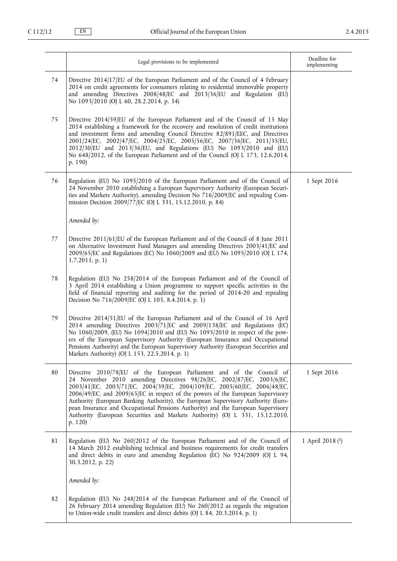|    | Legal provisions to be implemented                                                                                                                                                                                                                                                                                                                                                                                                                                                                                                                                                | Deadline for<br>implementing |
|----|-----------------------------------------------------------------------------------------------------------------------------------------------------------------------------------------------------------------------------------------------------------------------------------------------------------------------------------------------------------------------------------------------------------------------------------------------------------------------------------------------------------------------------------------------------------------------------------|------------------------------|
| 74 | Directive 2014/17/EU of the European Parliament and of the Council of 4 February<br>2014 on credit agreements for consumers relating to residential immovable property<br>and amending Directives 2008/48/EC and 2013/36/EU and Regulation (EU)<br>No 1093/2010 (OJ L 60, 28.2.2014, p. 34)                                                                                                                                                                                                                                                                                       |                              |
| 75 | Directive 2014/59/EU of the European Parliament and of the Council of 15 May<br>2014 establishing a framework for the recovery and resolution of credit institutions<br>and investment firms and amending Council Directive 82/891/EEC, and Directives<br>2001/24/EC, 2002/47/EC, 2004/25/EC, 2005/56/EC, 2007/36/EC, 2011/35/EU,<br>2012/30/EU and 2013/36/EU, and Regulations (EU) No 1093/2010 and (EU)<br>No 648/2012, of the European Parliament and of the Council (OJ L 173, 12.6.2014,<br>p. 190)                                                                         |                              |
| 76 | Regulation (EU) No 1095/2010 of the European Parliament and of the Council of<br>24 November 2010 establishing a European Supervisory Authority (European Securi-<br>ties and Markets Authority), amending Decision No 716/2009/EC and repealing Com-<br>mission Decision 2009/77/EC (OJ L 331, 15.12.2010, p. 84)                                                                                                                                                                                                                                                                | 1 Sept 2016                  |
|    | Amended by:                                                                                                                                                                                                                                                                                                                                                                                                                                                                                                                                                                       |                              |
| 77 | Directive 2011/61/EU of the European Parliament and of the Council of 8 June 2011<br>on Alternative Investment Fund Managers and amending Directives 2003/41/EC and<br>2009/65/EC and Regulations (EC) No 1060/2009 and (EU) No 1095/2010 (OJ L 174,<br>$1.7.2011$ , p. 1)                                                                                                                                                                                                                                                                                                        |                              |
| 78 | Regulation (EU) No 258/2014 of the European Parliament and of the Council of<br>3 April 2014 establishing a Union programme to support specific activities in the<br>field of financial reporting and auditing for the period of 2014-20 and repealing<br>Decision No 716/2009/EC (OJ L 105, 8.4.2014, p. 1)                                                                                                                                                                                                                                                                      |                              |
| 79 | Directive 2014/51/EU of the European Parliament and of the Council of 16 April<br>2014 amending Directives 2003/71/EC and 2009/138/EC and Regulations (EC)<br>No 1060/2009, (EU) No 1094/2010 and (EU) No 1095/2010 in respect of the pow-<br>ers of the European Supervisory Authority (European Insurance and Occupational<br>Pensions Authority) and the European Supervisory Authority (European Securities and<br>Markets Authority) (OJ L 153, 22.5.2014, p. 1)                                                                                                             |                              |
| 80 | Directive 2010/78/EU of the European Parliament and of the Council of<br>24 November 2010 amending Directives 98/26/EC, 2002/87/EC, 2003/6/EC,<br>2003/41/EC, 2003/71/EC, 2004/39/EC, 2004/109/EC, 2005/60/EC, 2006/48/EC,<br>2006/49/EC, and 2009/65/EC in respect of the powers of the European Supervisory<br>Authority (European Banking Authority), the European Supervisory Authority (Euro-<br>pean Insurance and Occupational Pensions Authority) and the European Supervisory<br>Authority (European Securities and Markets Authority) (OJ L 331, 15.12.2010,<br>p. 120) | 1 Sept 2016                  |
| 81 | Regulation (EU) No 260/2012 of the European Parliament and of the Council of<br>14 March 2012 establishing technical and business requirements for credit transfers<br>and direct debits in euro and amending Regulation (EC) No 924/2009 (OJ L 94,<br>30.3.2012, p. 22)                                                                                                                                                                                                                                                                                                          | 1 April 2018 (2)             |
|    | Amended by:                                                                                                                                                                                                                                                                                                                                                                                                                                                                                                                                                                       |                              |
| 82 | Regulation (EU) No 248/2014 of the European Parliament and of the Council of<br>26 February 2014 amending Regulation (EU) No 260/2012 as regards the migration<br>to Union-wide credit transfers and direct debits (OJ L 84, 20.3.2014, p. 1)                                                                                                                                                                                                                                                                                                                                     |                              |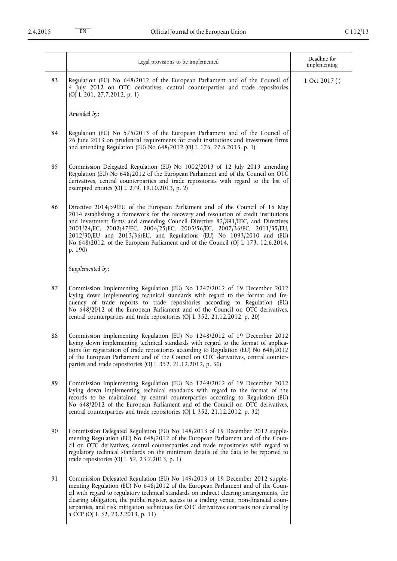|    | Legal provisions to be implemented                                                                                                                                                                                                                                                                                                                                                                                                                                                                        | Deadline for<br>implementing    |
|----|-----------------------------------------------------------------------------------------------------------------------------------------------------------------------------------------------------------------------------------------------------------------------------------------------------------------------------------------------------------------------------------------------------------------------------------------------------------------------------------------------------------|---------------------------------|
| 83 | Regulation (EU) No 648/2012 of the European Parliament and of the Council of<br>4 July 2012 on OTC derivatives, central counterparties and trade repositories<br>(OJ L 201, 27.7.2012, p. 1)                                                                                                                                                                                                                                                                                                              | 1 Oct 2017 $($ <sup>1</sup> $)$ |
|    | Amended by:                                                                                                                                                                                                                                                                                                                                                                                                                                                                                               |                                 |
| 84 | Regulation (EU) No 575/2013 of the European Parliament and of the Council of<br>26 June 2013 on prudential requirements for credit institutions and investment firms<br>and amending Regulation (EU) No 648/2012 (OJ L 176, 27.6.2013, p. 1)                                                                                                                                                                                                                                                              |                                 |
| 85 | Commission Delegated Regulation (EU) No 1002/2013 of 12 July 2013 amending<br>Regulation (EU) No 648/2012 of the European Parliament and of the Council on OTC<br>derivatives, central counterparties and trade repositories with regard to the list of<br>exempted entities (OJ L 279, 19.10.2013, p. 2)                                                                                                                                                                                                 |                                 |
| 86 | Directive 2014/59/EU of the European Parliament and of the Council of 15 May<br>2014 establishing a framework for the recovery and resolution of credit institutions<br>and investment firms and amending Council Directive 82/891/EEC, and Directives<br>2001/24/EC, 2002/47/EC, 2004/25/EC, 2005/56/EC, 2007/36/EC, 2011/35/EU,<br>2012/30/EU and 2013/36/EU, and Regulations (EU) No 1093/2010 and (EU)<br>No 648/2012, of the European Parliament and of the Council (OJ L 173, 12.6.2014,<br>p. 190) |                                 |
|    | Supplemented by:                                                                                                                                                                                                                                                                                                                                                                                                                                                                                          |                                 |
| 87 | Commission Implementing Regulation (EU) No 1247/2012 of 19 December 2012<br>laying down implementing technical standards with regard to the format and fre-<br>quency of trade reports to trade repositories according to Regulation (EU)<br>No 648/2012 of the European Parliament and of the Council on OTC derivatives,<br>central counterparties and trade repositories (OJ L 352, 21.12.2012, p. 20)                                                                                                 |                                 |
| 88 | Commission Implementing Regulation (EU) No 1248/2012 of 19 December 2012<br>laying down implementing technical standards with regard to the format of applica-<br>tions for registration of trade repositories according to Regulation (EU) No 648/2012<br>of the European Parliament and of the Council on OTC derivatives, central counter-<br>parties and trade repositories (OJ L 352, 21.12.2012, p. 30)                                                                                             |                                 |
| 89 | Commission Implementing Regulation (EU) No 1249/2012 of 19 December 2012<br>laying down implementing technical standards with regard to the format of the<br>records to be maintained by central counterparties according to Regulation (EU)<br>No 648/2012 of the European Parliament and of the Council on OTC derivatives,<br>central counterparties and trade repositories (OJ L 352, 21.12.2012, p. 32)                                                                                              |                                 |
| 90 | Commission Delegated Regulation (EU) No 148/2013 of 19 December 2012 supple-<br>menting Regulation (EU) No 648/2012 of the European Parliament and of the Coun-<br>cil on OTC derivatives, central counterparties and trade repositories with regard to<br>regulatory technical standards on the minimum details of the data to be reported to<br>trade repositories (OJ L 52, 23.2.2013, p. 1)                                                                                                           |                                 |
| 91 | Commission Delegated Regulation (EU) No 149/2013 of 19 December 2012 supple-<br>menting Regulation (EU) No 648/2012 of the European Parliament and of the Coun-<br>cil with regard to regulatory technical standards on indirect clearing arrangements, the<br>clearing obligation, the public register, access to a trading venue, non-financial coun-<br>terparties, and risk mitigation techniques for OTC derivatives contracts not cleared by<br>a CCP (OJ L 52, 23.2.2013, p. 11)                   |                                 |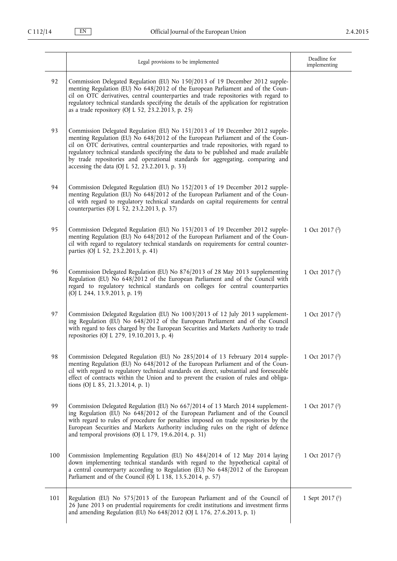|     | Legal provisions to be implemented                                                                                                                                                                                                                                                                                                                                                                                                                                                    | Deadline for<br>implementing |
|-----|---------------------------------------------------------------------------------------------------------------------------------------------------------------------------------------------------------------------------------------------------------------------------------------------------------------------------------------------------------------------------------------------------------------------------------------------------------------------------------------|------------------------------|
| 92  | Commission Delegated Regulation (EU) No 150/2013 of 19 December 2012 supple-<br>menting Regulation (EU) No 648/2012 of the European Parliament and of the Coun-<br>cil on OTC derivatives, central counterparties and trade repositories with regard to<br>regulatory technical standards specifying the details of the application for registration<br>as a trade repository (OJ L 52, 23.2.2013, p. 25)                                                                             |                              |
| 93  | Commission Delegated Regulation (EU) No 151/2013 of 19 December 2012 supple-<br>menting Regulation (EU) No 648/2012 of the European Parliament and of the Coun-<br>cil on OTC derivatives, central counterparties and trade repositories, with regard to<br>regulatory technical standards specifying the data to be published and made available<br>by trade repositories and operational standards for aggregating, comparing and<br>accessing the data (OJ L 52, 23.2.2013, p. 33) |                              |
| 94  | Commission Delegated Regulation (EU) No 152/2013 of 19 December 2012 supple-<br>menting Regulation (EU) No 648/2012 of the European Parliament and of the Coun-<br>cil with regard to regulatory technical standards on capital requirements for central<br>counterparties (OJ L 52, 23.2.2013, p. 37)                                                                                                                                                                                |                              |
| 95  | Commission Delegated Regulation (EU) No 153/2013 of 19 December 2012 supple-<br>menting Regulation (EU) No 648/2012 of the European Parliament and of the Coun-<br>cil with regard to regulatory technical standards on requirements for central counter-<br>parties (OJ L 52, 23.2.2013, p. 41)                                                                                                                                                                                      | 1 Oct 2017 $(2)$             |
| 96  | Commission Delegated Regulation (EU) No 876/2013 of 28 May 2013 supplementing<br>Regulation (EU) No 648/2012 of the European Parliament and of the Council with<br>regard to regulatory technical standards on colleges for central counterparties<br>(OJ L 244, 13.9.2013, p. 19)                                                                                                                                                                                                    | 1 Oct 2017 (2)               |
| 97  | Commission Delegated Regulation (EU) No 1003/2013 of 12 July 2013 supplement-<br>ing Regulation (EU) No 648/2012 of the European Parliament and of the Council<br>with regard to fees charged by the European Securities and Markets Authority to trade<br>repositories (OJ L 279, 19.10.2013, p. 4)                                                                                                                                                                                  | 1 Oct 2017 (2)               |
| 98  | Commission Delegated Regulation (EU) No 285/2014 of 13 February 2014 supple-<br>menting Regulation (EU) No 648/2012 of the European Parliament and of the Coun-<br>cil with regard to regulatory technical standards on direct, substantial and foreseeable<br>effect of contracts within the Union and to prevent the evasion of rules and obliga-<br>tions (OJ L 85, 21.3.2014, p. 1)                                                                                               | 1 Oct 2017 $(2)$             |
| 99  | Commission Delegated Regulation (EU) No 667/2014 of 13 March 2014 supplement-<br>ing Regulation (EU) No 648/2012 of the European Parliament and of the Council<br>with regard to rules of procedure for penalties imposed on trade repositories by the<br>European Securities and Markets Authority including rules on the right of defence<br>and temporal provisions (OJ L 179, 19.6.2014, p. 31)                                                                                   | 1 Oct 2017 $(2)$             |
| 100 | Commission Implementing Regulation (EU) No 484/2014 of 12 May 2014 laying<br>down implementing technical standards with regard to the hypothetical capital of<br>a central counterparty according to Regulation (EU) No 648/2012 of the European<br>Parliament and of the Council (OJ L 138, 13.5.2014, p. 57)                                                                                                                                                                        | 1 Oct 2017 $(2)$             |
| 101 | Regulation (EU) No 575/2013 of the European Parliament and of the Council of<br>26 June 2013 on prudential requirements for credit institutions and investment firms<br>and amending Regulation (EU) No 648/2012 (OJ L 176, 27.6.2013, p. 1)                                                                                                                                                                                                                                          | 1 Sept 2017 $(1)$            |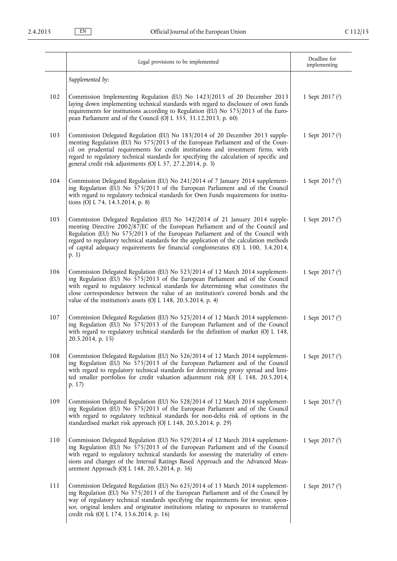|     | Legal provisions to be implemented                                                                                                                                                                                                                                                                                                                                                                                                       | Deadline for<br>implementing |
|-----|------------------------------------------------------------------------------------------------------------------------------------------------------------------------------------------------------------------------------------------------------------------------------------------------------------------------------------------------------------------------------------------------------------------------------------------|------------------------------|
|     | Supplemented by:                                                                                                                                                                                                                                                                                                                                                                                                                         |                              |
| 102 | Commission Implementing Regulation (EU) No 1423/2013 of 20 December 2013<br>laying down implementing technical standards with regard to disclosure of own funds<br>requirements for institutions according to Regulation (EU) No 575/2013 of the Euro-<br>pean Parliament and of the Council (OJ L 355, 31.12.2013, p. 60)                                                                                                               | 1 Sept 2017 $(2)$            |
| 103 | Commission Delegated Regulation (EU) No 183/2014 of 20 December 2013 supple-<br>menting Regulation (EU) No 575/2013 of the European Parliament and of the Coun-<br>cil on prudential requirements for credit institutions and investment firms, with<br>regard to regulatory technical standards for specifying the calculation of specific and<br>general credit risk adjustments (OJ L 57, 27.2.2014, p. 3)                            | 1 Sept 2017 (2)              |
| 104 | Commission Delegated Regulation (EU) No 241/2014 of 7 January 2014 supplement-<br>ing Regulation (EU) No 575/2013 of the European Parliament and of the Council<br>with regard to regulatory technical standards for Own Funds requirements for institu-<br>tions (OJ L 74, 14.3.2014, p. 8)                                                                                                                                             | 1 Sept 2017 $(2)$            |
| 105 | Commission Delegated Regulation (EU) No 342/2014 of 21 January 2014 supple-<br>menting Directive 2002/87/EC of the European Parliament and of the Council and<br>Regulation (EU) No 575/2013 of the European Parliament and of the Council with<br>regard to regulatory technical standards for the application of the calculation methods<br>of capital adequacy requirements for financial conglomerates (OJ L 100, 3.4.2014,<br>p. 1) | 1 Sept 2017 (2)              |
| 106 | Commission Delegated Regulation (EU) No 523/2014 of 12 March 2014 supplement-<br>ing Regulation (EU) No 575/2013 of the European Parliament and of the Council<br>with regard to regulatory technical standards for determining what constitutes the<br>close correspondence between the value of an institution's covered bonds and the<br>value of the institution's assets (OJ L 148, 20.5.2014, p. 4)                                | 1 Sept 2017 $(2)$            |
| 107 | Commission Delegated Regulation (EU) No 525/2014 of 12 March 2014 supplement-<br>ing Regulation (EU) No 575/2013 of the European Parliament and of the Council<br>with regard to regulatory technical standards for the definition of market (OJ L 148,<br>$20.5.2014$ , p. 15)                                                                                                                                                          | 1 Sept 2017 $(2)$            |
| 108 | Commission Delegated Regulation (EU) No 526/2014 of 12 March 2014 supplement-<br>ing Regulation (EU) No 575/2013 of the European Parliament and of the Council<br>with regard to regulatory technical standards for determining proxy spread and limi-<br>ted smaller portfolios for credit valuation adjustment risk (OJ L 148, 20.5.2014,<br>p. 17)                                                                                    | 1 Sept 2017 $(2)$            |
| 109 | Commission Delegated Regulation (EU) No 528/2014 of 12 March 2014 supplement-<br>ing Regulation (EU) No 575/2013 of the European Parliament and of the Council<br>with regard to regulatory technical standards for non-delta risk of options in the<br>standardised market risk approach (OJ L 148, 20.5.2014, p. 29)                                                                                                                   | 1 Sept 2017 $(2)$            |
| 110 | Commission Delegated Regulation (EU) No 529/2014 of 12 March 2014 supplement-<br>ing Regulation (EU) No 575/2013 of the European Parliament and of the Council<br>with regard to regulatory technical standards for assessing the materiality of exten-<br>sions and changes of the Internal Ratings Based Approach and the Advanced Meas-<br>urement Approach (OJ L 148, 20.5.2014, p. 36)                                              | 1 Sept 2017 $(2)$            |
| 111 | Commission Delegated Regulation (EU) No 625/2014 of 13 March 2014 supplement-<br>ing Regulation (EU) No 575/2013 of the European Parliament and of the Council by<br>way of regulatory technical standards specifying the requirements for investor, spon-<br>sor, original lenders and originator institutions relating to exposures to transferred<br>credit risk (OJ L 174, 13.6.2014, p. 16)                                         | 1 Sept 2017 $(2)$            |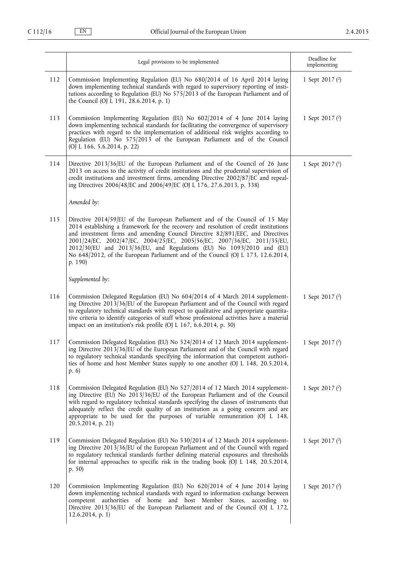|     | Legal provisions to be implemented                                                                                                                                                                                                                                                                                                                                                                                                                                                                        | Deadline for<br>implementing |
|-----|-----------------------------------------------------------------------------------------------------------------------------------------------------------------------------------------------------------------------------------------------------------------------------------------------------------------------------------------------------------------------------------------------------------------------------------------------------------------------------------------------------------|------------------------------|
| 112 | Commission Implementing Regulation (EU) No 680/2014 of 16 April 2014 laying<br>down implementing technical standards with regard to supervisory reporting of insti-<br>tutions according to Regulation (EU) No 575/2013 of the European Parliament and of<br>the Council (OJ L 191, 28.6.2014, p. 1)                                                                                                                                                                                                      | 1 Sept 2017 $(2)$            |
| 113 | Commission Implementing Regulation (EU) No 602/2014 of 4 June 2014 laying<br>down implementing technical standards for facilitating the convergence of supervisory<br>practices with regard to the implementation of additional risk weights according to<br>Regulation (EU) No 575/2013 of the European Parliament and of the Council<br>(OJ L 166, 5.6.2014, p. 22)                                                                                                                                     | 1 Sept 2017 $(2)$            |
| 114 | Directive 2013/36/EU of the European Parliament and of the Council of 26 June<br>2013 on access to the activity of credit institutions and the prudential supervision of<br>credit institutions and investment firms, amending Directive 2002/87/EC and repeal-<br>ing Directives 2006/48/EC and 2006/49/EC (OJ L 176, 27.6.2013, p. 338)                                                                                                                                                                 | 1 Sept 2017 $($ $)$          |
|     | Amended by:                                                                                                                                                                                                                                                                                                                                                                                                                                                                                               |                              |
| 115 | Directive 2014/59/EU of the European Parliament and of the Council of 15 May<br>2014 establishing a framework for the recovery and resolution of credit institutions<br>and investment firms and amending Council Directive 82/891/EEC, and Directives<br>2001/24/EC, 2002/47/EC, 2004/25/EC, 2005/56/EC, 2007/36/EC, 2011/35/EU,<br>2012/30/EU and 2013/36/EU, and Regulations (EU) No 1093/2010 and (EU)<br>No 648/2012, of the European Parliament and of the Council (OJ L 173, 12.6.2014,<br>p. 190) |                              |
|     | Supplemented by:                                                                                                                                                                                                                                                                                                                                                                                                                                                                                          |                              |
| 116 | Commission Delegated Regulation (EU) No 604/2014 of 4 March 2014 supplement-<br>ing Directive 2013/36/EU of the European Parliament and of the Council with regard<br>to regulatory technical standards with respect to qualitative and appropriate quantita-<br>tive criteria to identify categories of staff whose professional activities have a material<br>impact on an institution's risk profile (OJ L 167, 6.6.2014, p. 30)                                                                       | 1 Sept 2017 $(2)$            |
| 117 | Commission Delegated Regulation (EU) No 524/2014 of 12 March 2014 supplement-<br>ing Directive 2013/36/EU of the European Parliament and of the Council with regard<br>to regulatory technical standards specifying the information that competent authori-<br>ties of home and host Member States supply to one another (OJ L 148, 20.5.2014,<br>p. 6)                                                                                                                                                   | 1 Sept 2017 $(2)$            |
| 118 | Commission Delegated Regulation (EU) No 527/2014 of 12 March 2014 supplement-<br>ing Directive (EU) No 2013/36/EU of the European Parliament and of the Council<br>with regard to regulatory technical standards specifying the classes of instruments that<br>adequately reflect the credit quality of an institution as a going concern and are<br>appropriate to be used for the purposes of variable remuneration (OJ L 148,<br>$20.5.2014$ , p. 21)                                                  | 1 Sept 2017 $(2)$            |
| 119 | Commission Delegated Regulation (EU) No 530/2014 of 12 March 2014 supplement-<br>ing Directive 2013/36/EU of the European Parliament and of the Council with regard<br>to regulatory technical standards further defining material exposures and thresholds<br>for internal approaches to specific risk in the trading book (OJ L 148, 20.5.2014,<br>p. 50)                                                                                                                                               | 1 Sept 2017 $(2)$            |
| 120 | Commission Implementing Regulation (EU) No 620/2014 of 4 June 2014 laying<br>down implementing technical standards with regard to information exchange between<br>competent authorities of home and host Member States, according to<br>Directive 2013/36/EU of the European Parliament and of the Council (OJ L 172,<br>$12.6.2014$ , p. 1)                                                                                                                                                              | 1 Sept 2017 $(2)$            |